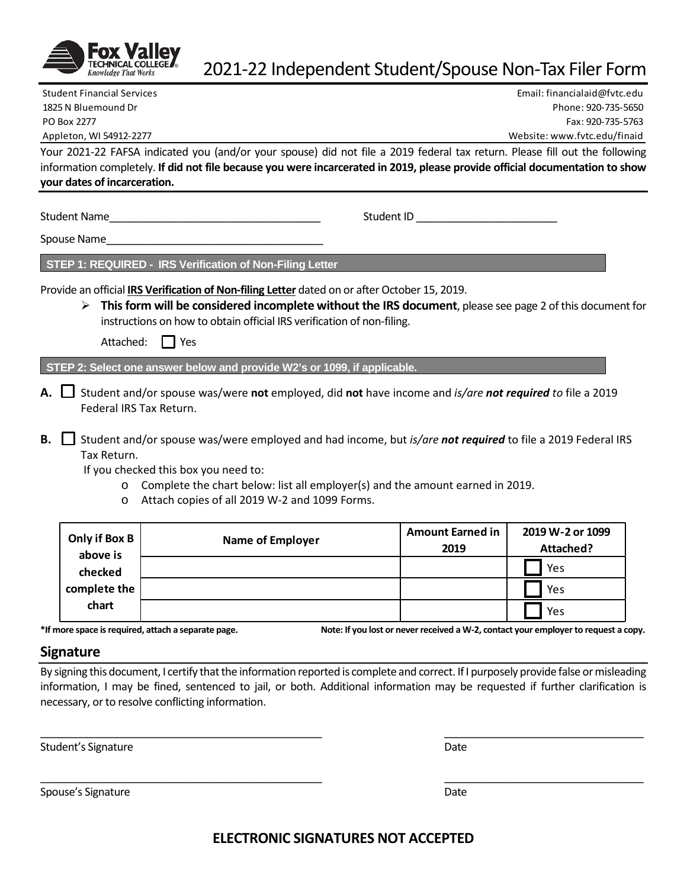

**your dates of incarceration.**

# 2021-22 Independent Student/Spouse Non-Tax Filer Form

Your 2021-22 FAFSA indicated you (and/or your spouse) did not file a 2019 federal tax return. Please fill out the following information completely. **If did not file because you were incarcerated in 2019, please provide official documentation to show**  Student Financial Services Email: financialaid@fvtc.edu 1825 N Bluemound Dr Phone: 920-735-5650 PO Box 2277 Fax: 920-735-5763 Appleton, WI 54912-2277 Website: www.fvtc.edu/finaid

Student Name The Communication of the Student ID  $\sim$  Student ID  $\sim$ 

Spouse Name\_\_\_\_\_\_\_\_\_\_\_\_\_\_\_\_\_\_\_\_\_\_\_\_\_\_\_\_\_\_\_\_\_\_\_\_\_

**STEP 1: REQUIRED - IRS Verification of Non-Filing Letter** 

Provide an official **IRS Verification of Non-filing Letter** dated on or after October 15, 2019.

 **This form will be considered incomplete without the IRS document**, please see page 2 of this document for instructions on how to obtain official IRS verification of non-filing.

Attached:  $\Box$  Yes

**STEP 2: Select one answer below and provide W2's or 1099, if applicable.** 

- **A.** Student and/or spouse was/were **not** employed, did **not** have income and *is/are not required to* file a 2019 Federal IRS Tax Return.
- **B.** Student and/or spouse was/were employed and had income, but *is/are not required* to file a 2019 Federal IRS Tax Return.

If you checked this box you need to:

- o Complete the chart below: list all employer(s) and the amount earned in 2019.
- o Attach copies of all 2019 W-2 and 1099 Forms.

| Only if Box B<br>above is | <b>Name of Employer</b> | <b>Amount Earned in</b><br>2019 | 2019 W-2 or 1099<br>Attached? |
|---------------------------|-------------------------|---------------------------------|-------------------------------|
| checked                   |                         |                                 | Yes                           |
| complete the<br>chart     |                         |                                 | Yes                           |
|                           |                         |                                 | Yes                           |

**\*If more space is required, attach a separate page. Note: If you lost or never received a W-2, contact your employer to request a copy.**

### **Signature**

By signing this document, I certify that the information reported is complete and correct. If I purposely provide false or misleading information, I may be fined, sentenced to jail, or both. Additional information may be requested if further clarification is necessary, or to resolve conflicting information.

\_\_\_\_\_\_\_\_\_\_\_\_\_\_\_\_\_\_\_\_\_\_\_\_\_\_\_\_\_\_\_\_\_\_\_\_\_\_\_\_\_\_\_\_\_\_\_\_ \_\_\_\_\_\_\_\_\_\_\_\_\_\_\_\_\_\_\_\_\_\_\_\_\_\_\_\_\_\_\_\_\_\_

\_\_\_\_\_\_\_\_\_\_\_\_\_\_\_\_\_\_\_\_\_\_\_\_\_\_\_\_\_\_\_\_\_\_\_\_\_\_\_\_\_\_\_\_\_\_\_\_ \_\_\_\_\_\_\_\_\_\_\_\_\_\_\_\_\_\_\_\_\_\_\_\_\_\_\_\_\_\_\_\_\_\_

Student's Signature Date of the Date of the Date of the Date of the Date of the Date of the Date of the Date of the Date of the Date of the Date of the Date of the Date of the Date of the Date of the Date of the Date of th

Spouse's Signature **Date** Date of the Date of the Date of the Date of the Date of the Date of the Date of the Date of the Date of the Date of the Date of the Date of the Date of the Date of the Date of the Date of the Date

**ELECTRONIC SIGNATURES NOT ACCEPTED**